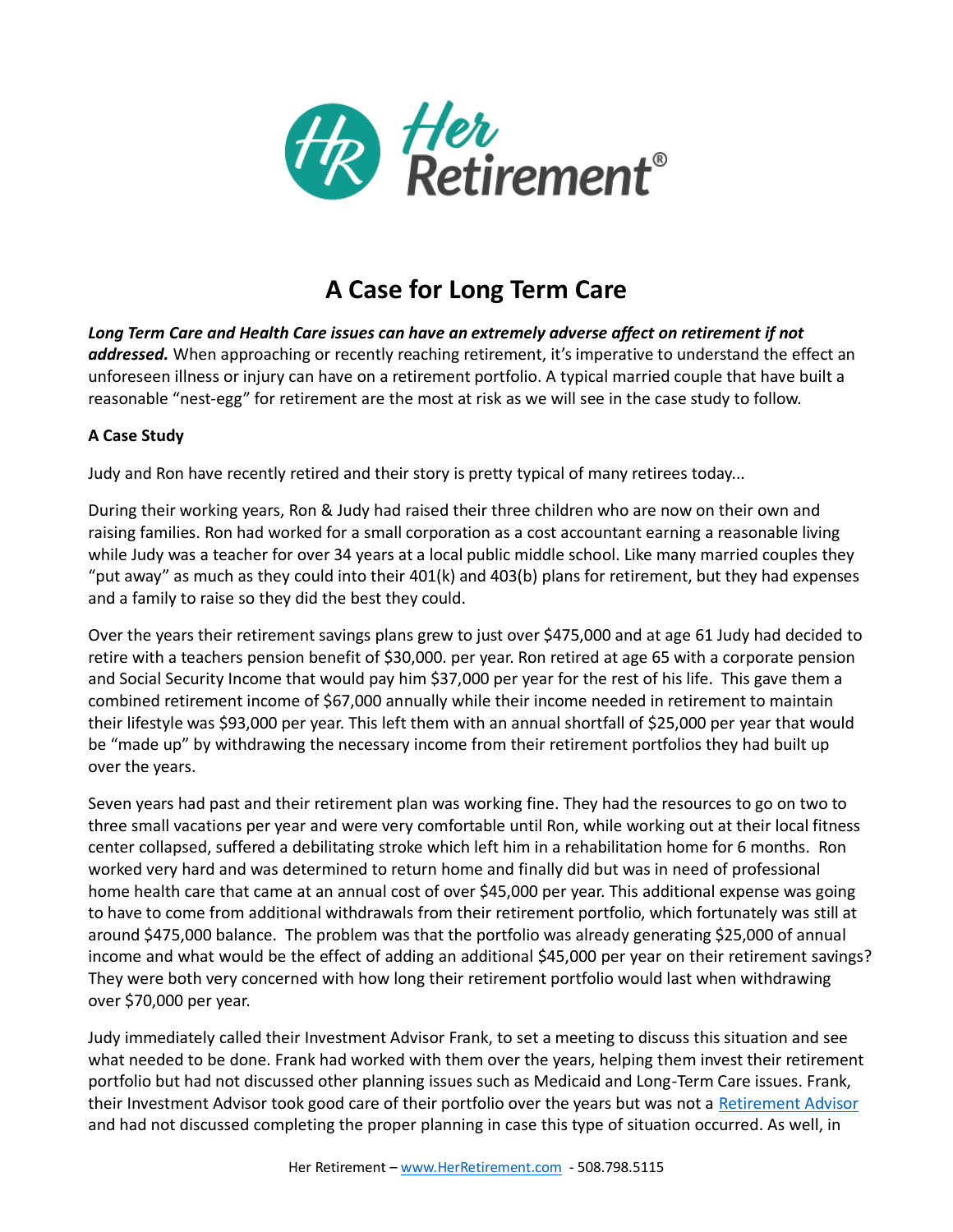

## **A Case for Long Term Care**

Long Term Care and Health Care issues can have an extremely adverse affect on retirement if not addressed. When approaching or recently reaching retirement, it's imperative to understand the effect an unforeseen illness or injury can have on a retirement portfolio. A typical married couple that have built a reasonable "nest-egg" for retirement are the most at risk as we will see in the case study to follow.

## **A Case Study**

Judy and Ron have recently retired and their story is pretty typical of many retirees today...

During their working years, Ron & Judy had raised their three children who are now on their own and raising families. Ron had worked for a small corporation as a cost accountant earning a reasonable living while Judy was a teacher for over 34 years at a local public middle school. Like many married couples they "put away" as much as they could into their 401(k) and 403(b) plans for retirement, but they had expenses and a family to raise so they did the best they could.

Over the years their retirement savings plans grew to just over \$475,000 and at age 61 Judy had decided to retire with a teachers pension benefit of \$30,000. per year. Ron retired at age 65 with a corporate pension and Social Security Income that would pay him \$37,000 per year for the rest of his life. This gave them a combined retirement income of \$67,000 annually while their income needed in retirement to maintain their lifestyle was \$93,000 per year. This left them with an annual shortfall of \$25,000 per year that would be "made up" by withdrawing the necessary income from their retirement portfolios they had built up over the years.

Seven years had past and their retirement plan was working fine. They had the resources to go on two to three small vacations per year and were very comfortable until Ron, while working out at their local fitness center collapsed, suffered a debilitating stroke which left him in a rehabilitation home for 6 months. Ron worked very hard and was determined to return home and finally did but was in need of professional home health care that came at an annual cost of over \$45,000 per year. This additional expense was going to have to come from additional withdrawals from their retirement portfolio, which fortunately was still at around \$475,000 balance. The problem was that the portfolio was already generating \$25,000 of annual income and what would be the effect of adding an additional \$45,000 per year on their retirement savings? They were both very concerned with how long their retirement portfolio would last when withdrawing over \$70,000 per year.

Judy immediately called their Investment Advisor Frank, to set a meeting to discuss this situation and see what needed to be done. Frank had worked with them over the years, helping them invest their retirement portfolio but had not discussed other planning issues such as Medicaid and Long-Term Care issues. Frank, their Investment Advisor took good care of their portfolio over the years but was not a [Retirement Advisor](https://herretirement.com/wp-content/uploads/2021/06/HRGuidetoAdvisors20.pdf) and had not discussed completing the proper planning in case this type of situation occurred. As well, in